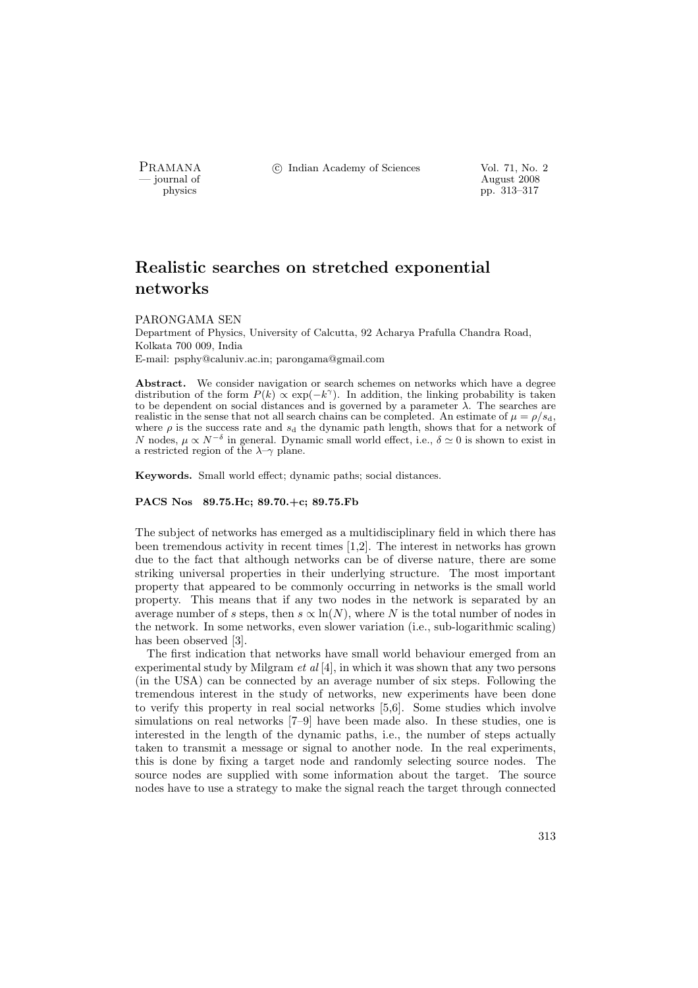PRAMANA <sup>C</sup> Indian Academy of Sciences Vol. 71, No. 2

position of the contract of the contract of the contract  $\frac{1}{2008}$  pp. 313–317 physics pp. 313–317

# Realistic searches on stretched exponential networks

#### PARONGAMA SEN

Department of Physics, University of Calcutta, 92 Acharya Prafulla Chandra Road, Kolkata 700 009, India E-mail: psphy@caluniv.ac.in; parongama@gmail.com

Abstract. We consider navigation or search schemes on networks which have a degree distribution of the form  $P(k) \propto \exp(-k^{\gamma})$ . In addition, the linking probability is taken to be dependent on social distances and is governed by a parameter  $\lambda$ . The searches are realistic in the sense that not all search chains can be completed. An estimate of  $\mu = \rho/s_d$ , where  $\rho$  is the success rate and  $s_d$  the dynamic path length, shows that for a network of N nodes,  $\mu \propto N^{-\delta}$  in general. Dynamic small world effect, i.e.,  $\delta \simeq 0$  is shown to exist in a restricted region of the  $\lambda$ -γ plane.

Keywords. Small world effect; dynamic paths; social distances.

#### PACS Nos 89.75.Hc; 89.70.+c; 89.75.Fb

The subject of networks has emerged as a multidisciplinary field in which there has been tremendous activity in recent times [1,2]. The interest in networks has grown due to the fact that although networks can be of diverse nature, there are some striking universal properties in their underlying structure. The most important property that appeared to be commonly occurring in networks is the small world property. This means that if any two nodes in the network is separated by an average number of s steps, then  $s \propto \ln(N)$ , where N is the total number of nodes in the network. In some networks, even slower variation (i.e., sub-logarithmic scaling) has been observed [3].

The first indication that networks have small world behaviour emerged from an experimental study by Milgram *et al*  $[4]$ , in which it was shown that any two persons (in the USA) can be connected by an average number of six steps. Following the tremendous interest in the study of networks, new experiments have been done to verify this property in real social networks [5,6]. Some studies which involve simulations on real networks [7–9] have been made also. In these studies, one is interested in the length of the dynamic paths, i.e., the number of steps actually taken to transmit a message or signal to another node. In the real experiments, this is done by fixing a target node and randomly selecting source nodes. The source nodes are supplied with some information about the target. The source nodes have to use a strategy to make the signal reach the target through connected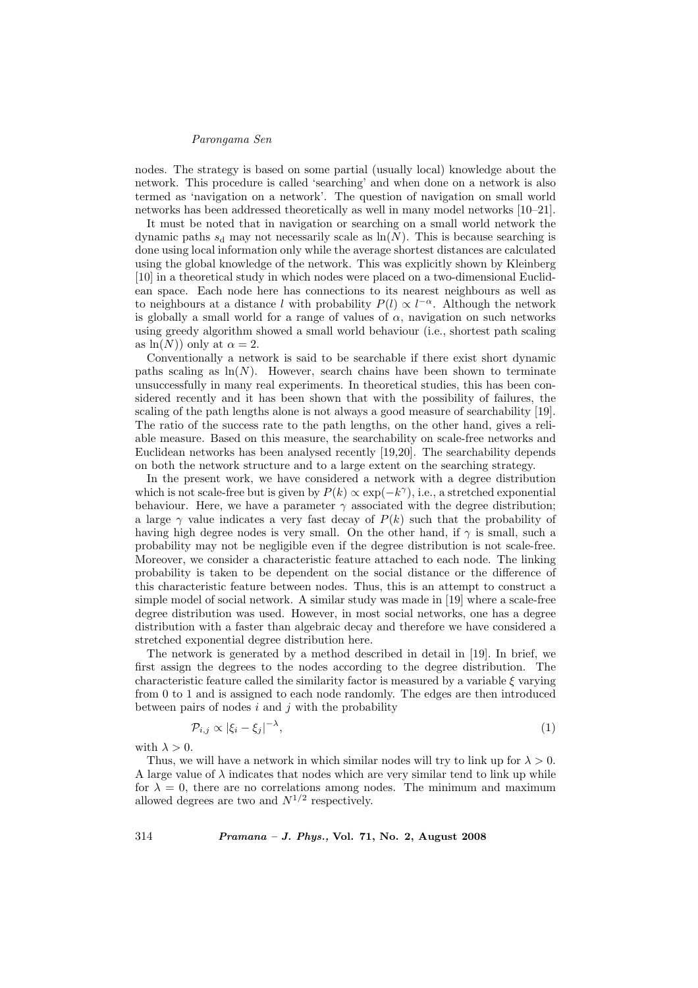### Parongama Sen

nodes. The strategy is based on some partial (usually local) knowledge about the network. This procedure is called 'searching' and when done on a network is also termed as 'navigation on a network'. The question of navigation on small world networks has been addressed theoretically as well in many model networks [10–21].

It must be noted that in navigation or searching on a small world network the dynamic paths  $s_d$  may not necessarily scale as  $\ln(N)$ . This is because searching is done using local information only while the average shortest distances are calculated using the global knowledge of the network. This was explicitly shown by Kleinberg [10] in a theoretical study in which nodes were placed on a two-dimensional Euclidean space. Each node here has connections to its nearest neighbours as well as to neighbours at a distance l with probability  $P(l) \propto l^{-\alpha}$ . Although the network is globally a small world for a range of values of  $\alpha$ , navigation on such networks using greedy algorithm showed a small world behaviour (i.e., shortest path scaling as  $\ln(N)$  only at  $\alpha = 2$ .

Conventionally a network is said to be searchable if there exist short dynamic paths scaling as  $\ln(N)$ . However, search chains have been shown to terminate unsuccessfully in many real experiments. In theoretical studies, this has been considered recently and it has been shown that with the possibility of failures, the scaling of the path lengths alone is not always a good measure of searchability [19]. The ratio of the success rate to the path lengths, on the other hand, gives a reliable measure. Based on this measure, the searchability on scale-free networks and Euclidean networks has been analysed recently [19,20]. The searchability depends on both the network structure and to a large extent on the searching strategy.

In the present work, we have considered a network with a degree distribution which is not scale-free but is given by  $P(k) \propto \exp(-k^{\gamma})$ , i.e., a stretched exponential behaviour. Here, we have a parameter  $\gamma$  associated with the degree distribution; a large  $\gamma$  value indicates a very fast decay of  $P(k)$  such that the probability of having high degree nodes is very small. On the other hand, if  $\gamma$  is small, such a probability may not be negligible even if the degree distribution is not scale-free. Moreover, we consider a characteristic feature attached to each node. The linking probability is taken to be dependent on the social distance or the difference of this characteristic feature between nodes. Thus, this is an attempt to construct a simple model of social network. A similar study was made in [19] where a scale-free degree distribution was used. However, in most social networks, one has a degree distribution with a faster than algebraic decay and therefore we have considered a stretched exponential degree distribution here.

The network is generated by a method described in detail in [19]. In brief, we first assign the degrees to the nodes according to the degree distribution. The characteristic feature called the similarity factor is measured by a variable  $\xi$  varying from 0 to 1 and is assigned to each node randomly. The edges are then introduced between pairs of nodes  $i$  and  $j$  with the probability

$$
\mathcal{P}_{i,j} \propto |\xi_i - \xi_j|^{-\lambda},\tag{1}
$$

with  $\lambda > 0$ .

Thus, we will have a network in which similar nodes will try to link up for  $\lambda > 0$ . A large value of  $\lambda$  indicates that nodes which are very similar tend to link up while for  $\lambda = 0$ , there are no correlations among nodes. The minimum and maximum allowed degrees are two and  $N^{1/2}$  respectively.

314 Pramana – J. Phys., Vol. 71, No. 2, August 2008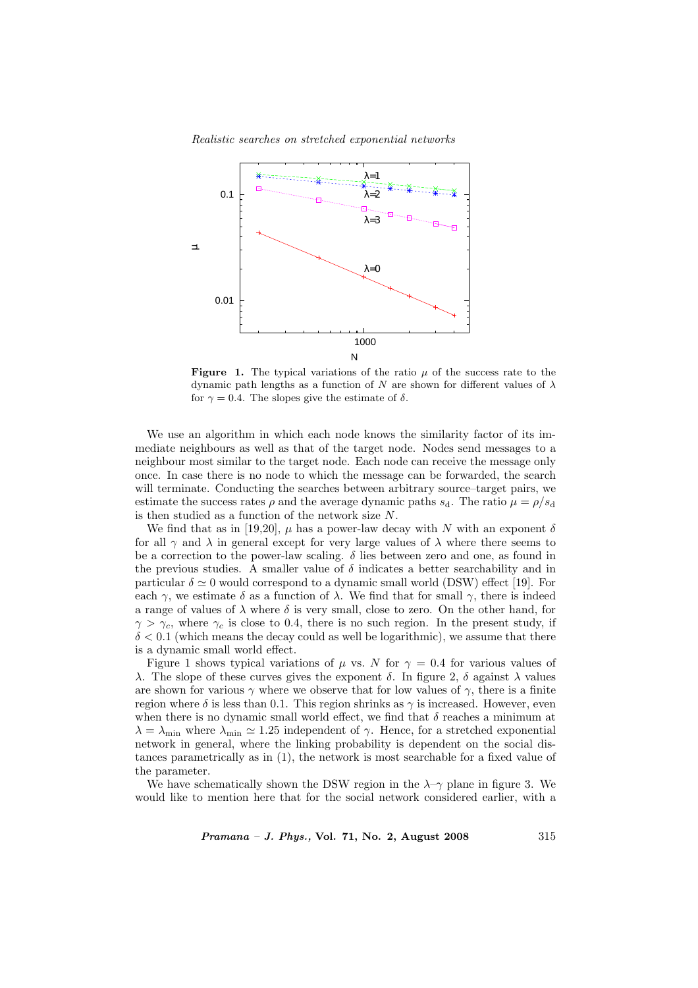

Realistic searches on stretched exponential networks

**Figure 1.** The typical variations of the ratio  $\mu$  of the success rate to the dynamic path lengths as a function of N are shown for different values of  $\lambda$ for  $\gamma = 0.4$ . The slopes give the estimate of  $\delta$ .

We use an algorithm in which each node knows the similarity factor of its immediate neighbours as well as that of the target node. Nodes send messages to a neighbour most similar to the target node. Each node can receive the message only once. In case there is no node to which the message can be forwarded, the search will terminate. Conducting the searches between arbitrary source–target pairs, we estimate the success rates  $\rho$  and the average dynamic paths  $s_d$ . The ratio  $\mu = \rho/s_d$ is then studied as a function of the network size N.

We find that as in [19,20],  $\mu$  has a power-law decay with N with an exponent  $\delta$ for all  $\gamma$  and  $\lambda$  in general except for very large values of  $\lambda$  where there seems to be a correction to the power-law scaling.  $\delta$  lies between zero and one, as found in the previous studies. A smaller value of  $\delta$  indicates a better searchability and in particular  $\delta \simeq 0$  would correspond to a dynamic small world (DSW) effect [19]. For each  $\gamma$ , we estimate  $\delta$  as a function of  $\lambda$ . We find that for small  $\gamma$ , there is indeed a range of values of  $\lambda$  where  $\delta$  is very small, close to zero. On the other hand, for  $\gamma > \gamma_c$ , where  $\gamma_c$  is close to 0.4, there is no such region. In the present study, if  $\delta$  < 0.1 (which means the decay could as well be logarithmic), we assume that there is a dynamic small world effect.

Figure 1 shows typical variations of  $\mu$  vs. N for  $\gamma = 0.4$  for various values of λ. The slope of these curves gives the exponent δ. In figure 2, δ against λ values are shown for various  $\gamma$  where we observe that for low values of  $\gamma$ , there is a finite region where  $\delta$  is less than 0.1. This region shrinks as  $\gamma$  is increased. However, even when there is no dynamic small world effect, we find that  $\delta$  reaches a minimum at  $\lambda = \lambda_{\min}$  where  $\lambda_{\min} \simeq 1.25$  independent of  $\gamma$ . Hence, for a stretched exponential network in general, where the linking probability is dependent on the social distances parametrically as in (1), the network is most searchable for a fixed value of the parameter.

We have schematically shown the DSW region in the  $\lambda$ - $\gamma$  plane in figure 3. We would like to mention here that for the social network considered earlier, with a

*Pramana – J. Phys.*, Vol. 71, No. 2, August 2008  $315$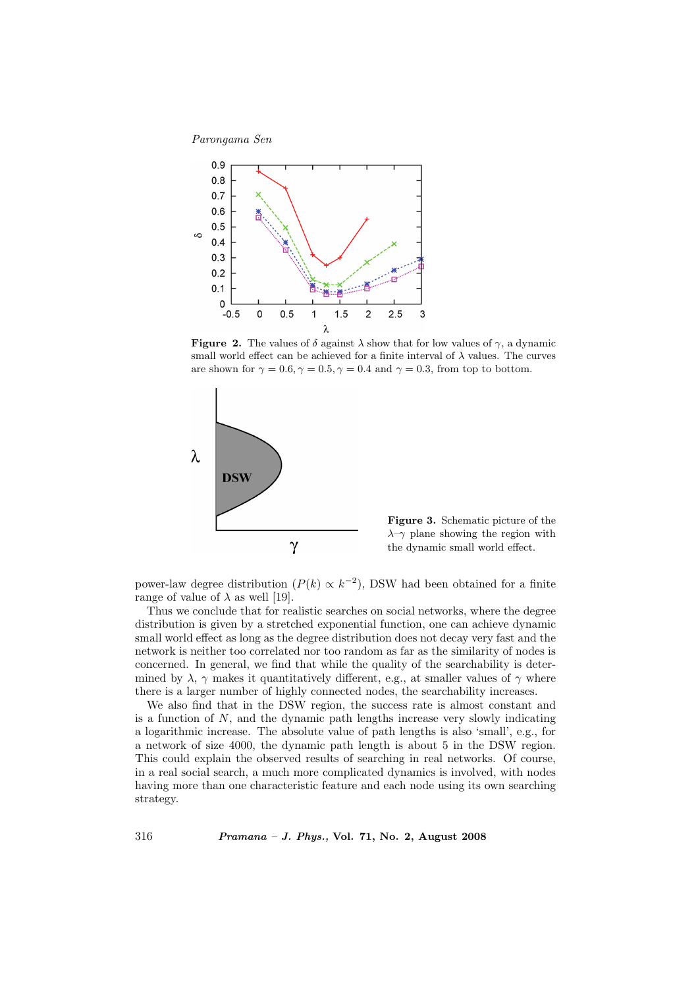Parongama Sen



**Figure 2.** The values of  $\delta$  against  $\lambda$  show that for low values of  $\gamma$ , a dynamic small world effect can be achieved for a finite interval of  $\lambda$  values. The curves are shown for  $\gamma = 0.6$ ,  $\gamma = 0.5$ ,  $\gamma = 0.4$  and  $\gamma = 0.3$ , from top to bottom.



Figure 3. Schematic picture of the  $\lambda$ –γ plane showing the region with the dynamic small world effect.

power-law degree distribution  $(P(k) \propto k^{-2})$ , DSW had been obtained for a finite range of value of  $\lambda$  as well [19].

Thus we conclude that for realistic searches on social networks, where the degree distribution is given by a stretched exponential function, one can achieve dynamic small world effect as long as the degree distribution does not decay very fast and the network is neither too correlated nor too random as far as the similarity of nodes is concerned. In general, we find that while the quality of the searchability is determined by  $\lambda$ ,  $\gamma$  makes it quantitatively different, e.g., at smaller values of  $\gamma$  where there is a larger number of highly connected nodes, the searchability increases.

We also find that in the DSW region, the success rate is almost constant and is a function of  $N$ , and the dynamic path lengths increase very slowly indicating a logarithmic increase. The absolute value of path lengths is also 'small', e.g., for a network of size 4000, the dynamic path length is about 5 in the DSW region. This could explain the observed results of searching in real networks. Of course, in a real social search, a much more complicated dynamics is involved, with nodes having more than one characteristic feature and each node using its own searching strategy.

316 Pramana – J. Phys., Vol. 71, No. 2, August 2008